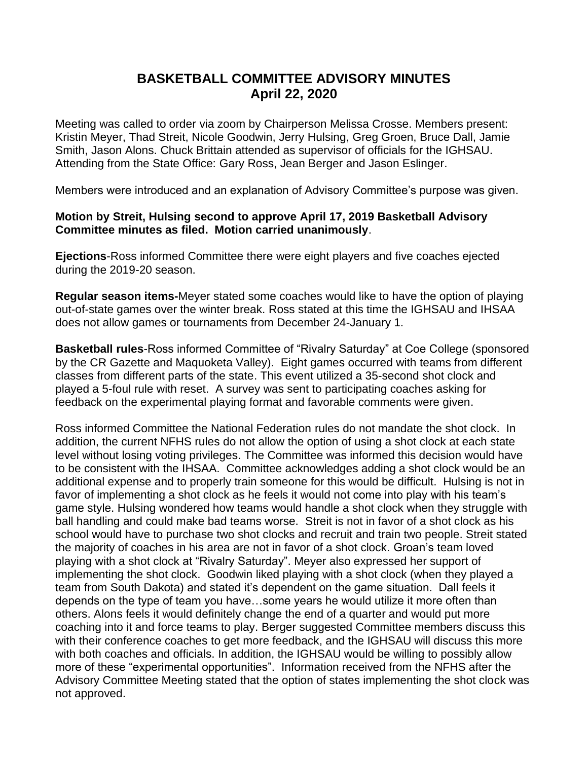## **BASKETBALL COMMITTEE ADVISORY MINUTES April 22, 2020**

Meeting was called to order via zoom by Chairperson Melissa Crosse. Members present: Kristin Meyer, Thad Streit, Nicole Goodwin, Jerry Hulsing, Greg Groen, Bruce Dall, Jamie Smith, Jason Alons. Chuck Brittain attended as supervisor of officials for the IGHSAU. Attending from the State Office: Gary Ross, Jean Berger and Jason Eslinger.

Members were introduced and an explanation of Advisory Committee's purpose was given.

## **Motion by Streit, Hulsing second to approve April 17, 2019 Basketball Advisory Committee minutes as filed. Motion carried unanimously**.

**Ejections**-Ross informed Committee there were eight players and five coaches ejected during the 2019-20 season.

**Regular season items-**Meyer stated some coaches would like to have the option of playing out-of-state games over the winter break. Ross stated at this time the IGHSAU and IHSAA does not allow games or tournaments from December 24-January 1.

**Basketball rules**-Ross informed Committee of "Rivalry Saturday" at Coe College (sponsored by the CR Gazette and Maquoketa Valley). Eight games occurred with teams from different classes from different parts of the state. This event utilized a 35-second shot clock and played a 5-foul rule with reset. A survey was sent to participating coaches asking for feedback on the experimental playing format and favorable comments were given.

Ross informed Committee the National Federation rules do not mandate the shot clock. In addition, the current NFHS rules do not allow the option of using a shot clock at each state level without losing voting privileges. The Committee was informed this decision would have to be consistent with the IHSAA. Committee acknowledges adding a shot clock would be an additional expense and to properly train someone for this would be difficult. Hulsing is not in favor of implementing a shot clock as he feels it would not come into play with his team's game style. Hulsing wondered how teams would handle a shot clock when they struggle with ball handling and could make bad teams worse. Streit is not in favor of a shot clock as his school would have to purchase two shot clocks and recruit and train two people. Streit stated the majority of coaches in his area are not in favor of a shot clock. Groan's team loved playing with a shot clock at "Rivalry Saturday". Meyer also expressed her support of implementing the shot clock. Goodwin liked playing with a shot clock (when they played a team from South Dakota) and stated it's dependent on the game situation. Dall feels it depends on the type of team you have…some years he would utilize it more often than others. Alons feels it would definitely change the end of a quarter and would put more coaching into it and force teams to play. Berger suggested Committee members discuss this with their conference coaches to get more feedback, and the IGHSAU will discuss this more with both coaches and officials. In addition, the IGHSAU would be willing to possibly allow more of these "experimental opportunities". Information received from the NFHS after the Advisory Committee Meeting stated that the option of states implementing the shot clock was not approved.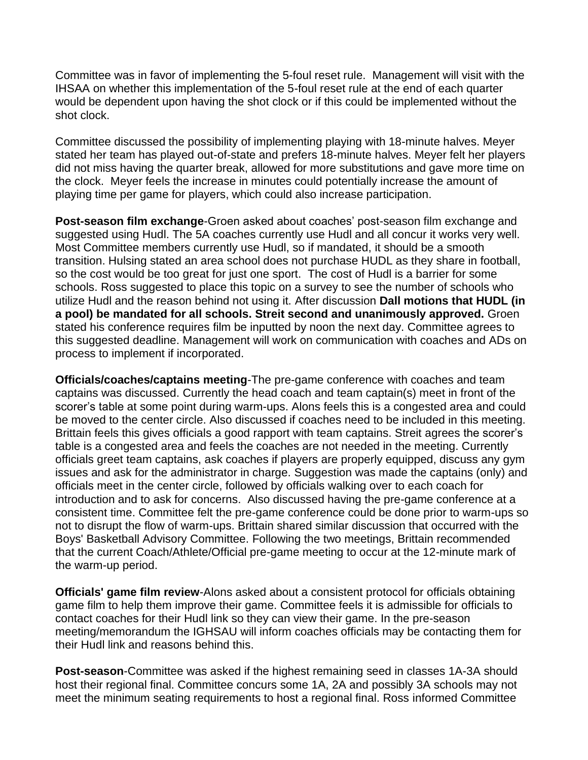Committee was in favor of implementing the 5-foul reset rule. Management will visit with the IHSAA on whether this implementation of the 5-foul reset rule at the end of each quarter would be dependent upon having the shot clock or if this could be implemented without the shot clock.

Committee discussed the possibility of implementing playing with 18-minute halves. Meyer stated her team has played out-of-state and prefers 18-minute halves. Meyer felt her players did not miss having the quarter break, allowed for more substitutions and gave more time on the clock. Meyer feels the increase in minutes could potentially increase the amount of playing time per game for players, which could also increase participation.

**Post-season film exchange**-Groen asked about coaches' post-season film exchange and suggested using Hudl. The 5A coaches currently use Hudl and all concur it works very well. Most Committee members currently use Hudl, so if mandated, it should be a smooth transition. Hulsing stated an area school does not purchase HUDL as they share in football, so the cost would be too great for just one sport. The cost of Hudl is a barrier for some schools. Ross suggested to place this topic on a survey to see the number of schools who utilize Hudl and the reason behind not using it. After discussion **Dall motions that HUDL (in a pool) be mandated for all schools. Streit second and unanimously approved.** Groen stated his conference requires film be inputted by noon the next day. Committee agrees to this suggested deadline. Management will work on communication with coaches and ADs on process to implement if incorporated.

**Officials/coaches/captains meeting**-The pre-game conference with coaches and team captains was discussed. Currently the head coach and team captain(s) meet in front of the scorer's table at some point during warm-ups. Alons feels this is a congested area and could be moved to the center circle. Also discussed if coaches need to be included in this meeting. Brittain feels this gives officials a good rapport with team captains. Streit agrees the scorer's table is a congested area and feels the coaches are not needed in the meeting. Currently officials greet team captains, ask coaches if players are properly equipped, discuss any gym issues and ask for the administrator in charge. Suggestion was made the captains (only) and officials meet in the center circle, followed by officials walking over to each coach for introduction and to ask for concerns. Also discussed having the pre-game conference at a consistent time. Committee felt the pre-game conference could be done prior to warm-ups so not to disrupt the flow of warm-ups. Brittain shared similar discussion that occurred with the Boys' Basketball Advisory Committee. Following the two meetings, Brittain recommended that the current Coach/Athlete/Official pre-game meeting to occur at the 12-minute mark of the warm-up period.

**Officials' game film review**-Alons asked about a consistent protocol for officials obtaining game film to help them improve their game. Committee feels it is admissible for officials to contact coaches for their Hudl link so they can view their game. In the pre-season meeting/memorandum the IGHSAU will inform coaches officials may be contacting them for their Hudl link and reasons behind this.

**Post-season**-Committee was asked if the highest remaining seed in classes 1A-3A should host their regional final. Committee concurs some 1A, 2A and possibly 3A schools may not meet the minimum seating requirements to host a regional final. Ross informed Committee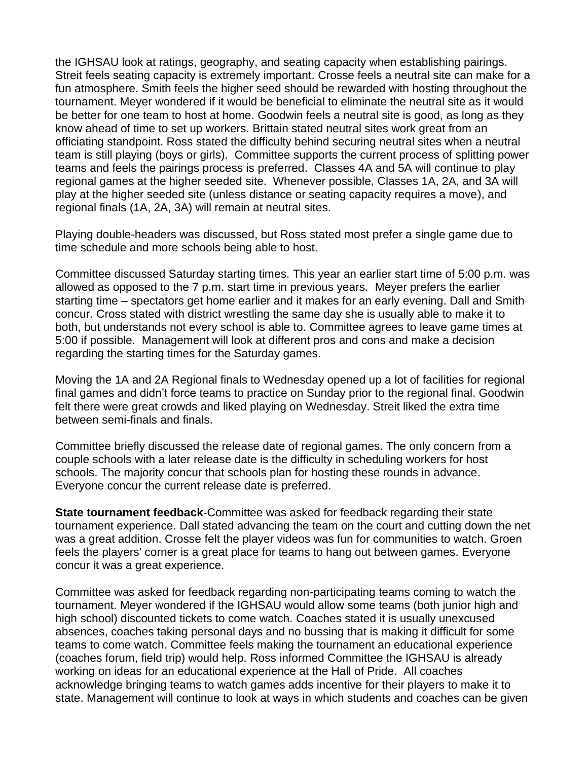the IGHSAU look at ratings, geography, and seating capacity when establishing pairings. Streit feels seating capacity is extremely important. Crosse feels a neutral site can make for a fun atmosphere. Smith feels the higher seed should be rewarded with hosting throughout the tournament. Meyer wondered if it would be beneficial to eliminate the neutral site as it would be better for one team to host at home. Goodwin feels a neutral site is good, as long as they know ahead of time to set up workers. Brittain stated neutral sites work great from an officiating standpoint. Ross stated the difficulty behind securing neutral sites when a neutral team is still playing (boys or girls). Committee supports the current process of splitting power teams and feels the pairings process is preferred. Classes 4A and 5A will continue to play regional games at the higher seeded site. Whenever possible, Classes 1A, 2A, and 3A will play at the higher seeded site (unless distance or seating capacity requires a move), and regional finals (1A, 2A, 3A) will remain at neutral sites.

Playing double-headers was discussed, but Ross stated most prefer a single game due to time schedule and more schools being able to host.

Committee discussed Saturday starting times. This year an earlier start time of 5:00 p.m. was allowed as opposed to the 7 p.m. start time in previous years. Meyer prefers the earlier starting time – spectators get home earlier and it makes for an early evening. Dall and Smith concur. Cross stated with district wrestling the same day she is usually able to make it to both, but understands not every school is able to. Committee agrees to leave game times at 5:00 if possible. Management will look at different pros and cons and make a decision regarding the starting times for the Saturday games.

Moving the 1A and 2A Regional finals to Wednesday opened up a lot of facilities for regional final games and didn't force teams to practice on Sunday prior to the regional final. Goodwin felt there were great crowds and liked playing on Wednesday. Streit liked the extra time between semi-finals and finals.

Committee briefly discussed the release date of regional games. The only concern from a couple schools with a later release date is the difficulty in scheduling workers for host schools. The majority concur that schools plan for hosting these rounds in advance. Everyone concur the current release date is preferred.

**State tournament feedback**-Committee was asked for feedback regarding their state tournament experience. Dall stated advancing the team on the court and cutting down the net was a great addition. Crosse felt the player videos was fun for communities to watch. Groen feels the players' corner is a great place for teams to hang out between games. Everyone concur it was a great experience.

Committee was asked for feedback regarding non-participating teams coming to watch the tournament. Meyer wondered if the IGHSAU would allow some teams (both junior high and high school) discounted tickets to come watch. Coaches stated it is usually unexcused absences, coaches taking personal days and no bussing that is making it difficult for some teams to come watch. Committee feels making the tournament an educational experience (coaches forum, field trip) would help. Ross informed Committee the IGHSAU is already working on ideas for an educational experience at the Hall of Pride. All coaches acknowledge bringing teams to watch games adds incentive for their players to make it to state. Management will continue to look at ways in which students and coaches can be given